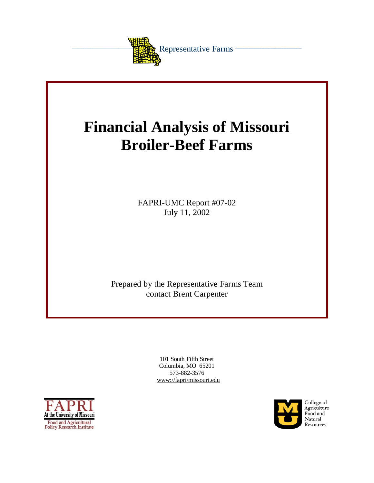

# **Financial Analysis of Missouri Broiler-Beef Farms**

FAPRI-UMC Report #07-02 July 11, 2002

Prepared by the Representative Farms Team contact Brent Carpenter

> 101 South Fifth Street Columbia, MO 65201 573-882-3576 www://fapri/missouri.edu



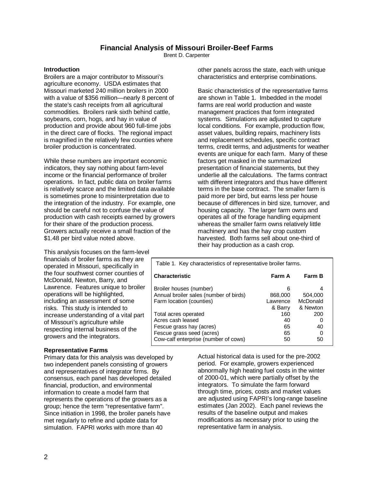# **Financial Analysis of Missouri Broiler-Beef Farms**

Brent D. Carpenter

#### **Introduction**

Broilers are a major contributor to Missouri's agriculture economy. USDA estimates that Missouri marketed 240 million broilers in 2000 with a value of \$356 million—nearly 8 percent of the state's cash receipts from all agricultural commodities. Broilers rank sixth behind cattle, soybeans, corn, hogs, and hay in value of production and provide about 960 full-time jobs in the direct care of flocks. The regional impact is magnified in the relatively few counties where broiler production is concentrated.

While these numbers are important economic indicators, they say nothing about farm-level income or the financial performance of broiler operations. In fact, public data on broiler farms is relatively scarce and the limited data available is sometimes prone to misinterpretation due to the integration of the industry. For example, one should be careful not to confuse the value of production with cash receipts earned by growers for their share of the production process. Growers actually receive a small fraction of the \$1.48 per bird value noted above.

This analysis focuses on the farm-level financials of broiler farms as they are operated in Missouri, specifically in the four southwest corner counties of McDonald, Newton, Barry, and Lawrence. Features unique to broiler operations will be highlighted, including an assessment of some risks. This study is intended to increase understanding of a vital part of Missouri's agriculture while respecting internal business of the growers and the integrators.

#### **Representative Farms**

Primary data for this analysis was developed by two independent panels consisting of growers and representatives of integrator firms. By consensus, each panel has developed detailed financial, production, and environmental information to create a model farm that represents the operations of the growers as a group; hence the term "representative farm". Since initiation in 1998, the broiler panels have met regularly to refine and update data for simulation. FAPRI works with more than 40

other panels across the state, each with unique characteristics and enterprise combinations.

Basic characteristics of the representative farms are shown in Table 1. Imbedded in the model farms are real world production and waste management practices that form integrated systems. Simulations are adiusted to capture local conditions. For example, production flow, asset values, building repairs, machinery lists and replacement schedules, specific contract terms, credit terms, and adjustments for weather events are unique for each farm. Many of these factors get masked in the summarized presentation of financial statements, but they underlie all the calculations. The farms contract with different integrators and thus have different terms in the base contract. The smaller farm is paid more per bird, but earns less per house because of differences in bird size, turnover, and housing capacity. The larger farm owns and operates all of the forage handling equipment whereas the smaller farm owns relatively little machinery and has the hay crop custom harvested. Both farms sell about one-third of their hay production as a cash crop.

| Table 1. Key characteristics of representative broiler farms.                                                                              |                                     |                                      |  |  |  |  |
|--------------------------------------------------------------------------------------------------------------------------------------------|-------------------------------------|--------------------------------------|--|--|--|--|
| <b>Characteristic</b>                                                                                                                      | Farm A                              | Farm B                               |  |  |  |  |
| Broiler houses (number)<br>Annual broiler sales (number of birds)<br>Farm location (counties)                                              | 6<br>868,000<br>Lawrence<br>& Barry | 4<br>504,000<br>McDonald<br>& Newton |  |  |  |  |
| Total acres operated<br>Acres cash leased<br>Fescue grass hay (acres)<br>Fescue grass seed (acres)<br>Cow-calf enterprise (number of cows) | 160<br>40<br>65<br>65<br>50         | 200<br>0<br>40<br>0<br>50            |  |  |  |  |

Actual historical data is used for the pre-2002 period. For example, growers experienced abnormally high heating fuel costs in the winter of 2000-01, which were partially offset by the integrators. To simulate the farm forward through time, prices, costs and market values are adjusted using FAPRI's long-range baseline estimates (Jan 2002). Each panel reviews the results of the baseline output and makes modifications as necessary prior to using the representative farm in analysis.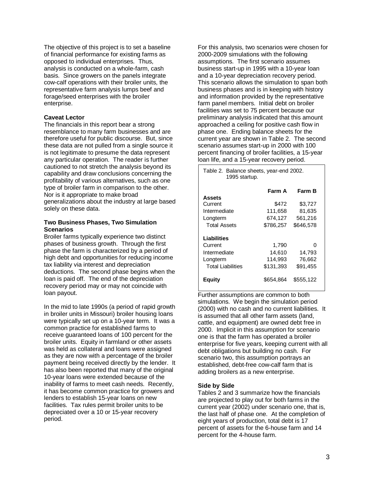The objective of this project is to set a baseline of financial performance for existing farms as opposed to individual enterprises. Thus, analysis is conducted on a whole-farm, cash basis. Since growers on the panels integrate cow-calf operations with their broiler units, the representative farm analysis lumps beef and forage/seed enterprises with the broiler enterprise.

# **Caveat Lector**

The financials in this report bear a strong resemblance to many farm businesses and are therefore useful for public discourse. But, since these data are not pulled from a single source it is not legitimate to presume the data represent any particular operation. The reader is further cautioned to not stretch the analysis beyond its capability and draw conclusions concerning the profitability of various alternatives, such as one type of broiler farm in comparison to the other. Nor is it appropriate to make broad generalizations about the industry at large based solely on these data.

# **Two Business Phases, Two Simulation Scenarios**

Broiler farms typically experience two distinct phases of business growth. Through the first phase the farm is characterized by a period of high debt and opportunities for reducing income tax liability via interest and depreciation deductions. The second phase begins when the loan is paid off. The end of the depreciation recovery period may or may not coincide with loan payout.

In the mid to late 1990s (a period of rapid growth in broiler units in Missouri) broiler housing loans were typically set up on a 10-year term. It was a common practice for established farms to receive guaranteed loans of 100 percent for the broiler units. Equity in farmland or other assets was held as collateral and loans were assigned as they are now with a percentage of the broiler payment being received directly by the lender. It has also been reported that many of the original 10-year loans were extended because of the inability of farms to meet cash needs. Recently, it has become common practice for growers and lenders to establish 15-year loans on new facilities. Tax rules permit broiler units to be depreciated over a 10 or 15-year recovery period.

For this analysis, two scenarios were chosen for 2000-2009 simulations with the following assumptions. The first scenario assumes business start-up in 1995 with a 10-year loan and a 10-year depreciation recovery period. This scenario allows the simulation to span both business phases and is in keeping with history and information provided by the representative farm panel members. Initial debt on broiler facilities was set to 75 percent because our preliminary analysis indicated that this amount approached a ceiling for positive cash flow in phase one. Ending balance sheets for the current year are shown in Table 2. The second scenario assumes start-up in 2000 with 100 percent financing of broiler facilities, a 15-year loan life, and a 15-year recovery period.

| Table 2. Balance sheets, year-end 2002.<br>1995 startup. |           |           |  |  |  |
|----------------------------------------------------------|-----------|-----------|--|--|--|
|                                                          | Farm A    | Farm B    |  |  |  |
| <b>Assets</b>                                            |           |           |  |  |  |
| Current                                                  | \$472     | \$3,727   |  |  |  |
| Intermediate                                             | 111,658   | 81.635    |  |  |  |
| Longterm                                                 | 674,127   | 561,216   |  |  |  |
| <b>Total Assets</b>                                      | \$786.257 | \$646,578 |  |  |  |
| Liabilities                                              |           |           |  |  |  |
| Current                                                  | 1,790     | 0         |  |  |  |
| Intermediate                                             | 14,610    | 14,793    |  |  |  |
| Longterm                                                 | 114,993   | 76,662    |  |  |  |
| <b>Total Liabilities</b>                                 | \$131,393 | \$91,455  |  |  |  |
| Equity                                                   | \$654,864 | \$555,122 |  |  |  |

Further assumptions are common to both simulations. We begin the simulation period (2000) with no cash and no current liabilities. It is assumed that all other farm assets (land, cattle, and equipment) are owned debt free in 2000. Implicit in this assumption for scenario one is that the farm has operated a broiler enterprise for five years, keeping current with all debt obligations but building no cash. For scenario two, this assumption portrays an established, debt-free cow-calf farm that is adding broilers as a new enterprise.

#### **Side by Side**

Tables 2 and 3 summarize how the financials are projected to play out for both farms in the current year (2002) under scenario one, that is, the last half of phase one. At the completion of eight years of production, total debt is 17 percent of assets for the 6-house farm and 14 percent for the 4-house farm.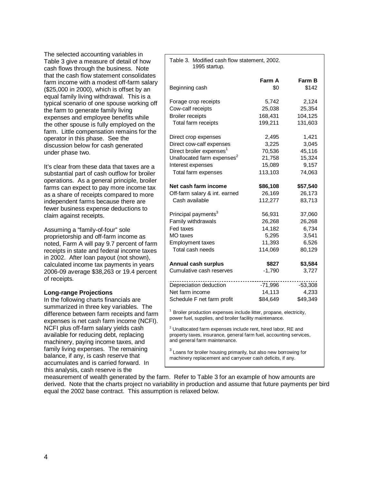The selected accounting variables in Table 3 give a measure of detail of how cash flows through the business. Note that the cash flow statement consolidates farm income with a modest off-farm salary (\$25,000 in 2000), which is offset by an equal family living withdrawal. This is a typical scenario of one spouse working off the farm to generate family living expenses and employee benefits while the other spouse is fully employed on t he farm. Little compensation remains for the operator in this phase. See the discussion below for cash generated under phas e two.

It's clear from these data that taxes are a substantial part of cash outflow for broiler operations. As a general principle, broiler farms can expect to pay more income tax as a share of receipts compared to more independent farms because there are fewer business expense deductions to claim against receipts.

Assuming a "family-of-four" sole proprietorship and off-farm income as noted, Farm A will pay 9.7 percent of farm receipts in state and federal income taxes in 2002. After loan payout (not shown), calculated income tax payments in years 2006-09 average \$38,263 or 19.4 percent of receipts.

#### **Long-range Projections**

In the following charts financials are summarized in three key variables. The difference between farm receipts and farm expenses is net cash farm income (NCFI). NCFI plus off-farm salary yields cash available for reducing debt, replacing machinery, paying income taxes, and family living expenses. The remaining balance, if any, is cash reserve that accumulates and is carried forward. In this analysis, cash reserve is the

| Table 3. Modified cash flow statement, 2002.<br>1995 startup.                                                                                                                   |           |          |  |  |
|---------------------------------------------------------------------------------------------------------------------------------------------------------------------------------|-----------|----------|--|--|
|                                                                                                                                                                                 | Farm A    | Farm B   |  |  |
| Beginning cash                                                                                                                                                                  | \$0       | \$142    |  |  |
| Forage crop receipts                                                                                                                                                            | 5,742     | 2,124    |  |  |
| Cow-calf receipts                                                                                                                                                               | 25,038    | 25,354   |  |  |
| <b>Broiler receipts</b>                                                                                                                                                         | 168,431   | 104,125  |  |  |
| Total farm receipts                                                                                                                                                             | 199,211   | 131,603  |  |  |
| Direct crop expenses                                                                                                                                                            | 2,495     | 1,421    |  |  |
| Direct cow-calf expenses                                                                                                                                                        | 3,225     | 3,045    |  |  |
| Direct broiler expenses <sup>1</sup>                                                                                                                                            | 70,536    | 45,116   |  |  |
| Unallocated farm expenses <sup>2</sup>                                                                                                                                          | 21,758    | 15,324   |  |  |
| Interest expenses                                                                                                                                                               | 15,089    | 9,157    |  |  |
| Total farm expenses                                                                                                                                                             | 113,103   | 74,063   |  |  |
| Net cash farm income                                                                                                                                                            | \$86,108  | \$57,540 |  |  |
| Off-farm salary & int. earned                                                                                                                                                   | 26,169    | 26,173   |  |  |
| Cash available                                                                                                                                                                  | 112,277   | 83,713   |  |  |
| Principal payments <sup>3</sup>                                                                                                                                                 | 56,931    | 37,060   |  |  |
| Family withdrawals                                                                                                                                                              | 26,268    | 26,268   |  |  |
| Fed taxes                                                                                                                                                                       | 14,182    | 6,734    |  |  |
| MO taxes                                                                                                                                                                        | 5,295     | 3,541    |  |  |
| <b>Employment taxes</b>                                                                                                                                                         | 11,393    | 6,526    |  |  |
| Total cash needs                                                                                                                                                                | 114,069   | 80,129   |  |  |
| <b>Annual cash surplus</b>                                                                                                                                                      | \$827     | \$3,584  |  |  |
| Cumulative cash reserves                                                                                                                                                        | $-1,790$  | 3,727    |  |  |
| Depreciation deduction                                                                                                                                                          | $-71,996$ | -53,308  |  |  |
| Net farm income                                                                                                                                                                 | 14,113    | 4,233    |  |  |
| Schedule F net farm profit                                                                                                                                                      | \$84,649  | \$49,349 |  |  |
| Broiler production expenses include litter, propane, electricity,<br>power fuel, supplies, and broiler facility maintenance.                                                    |           |          |  |  |
| <sup>2</sup> Unallocated farm expenses include rent, hired labor, RE and<br>property taxes, insurance, general farm fuel, accounting services,<br>and general farm maintenance. |           |          |  |  |

<sup>3</sup> Loans for broiler housing primarily, but also new borrowing for machinery replacement and carryover cash deficits, if any.

measurement of wealth generated by the farm. Refer to Table 3 for an example of how amounts are derived. Note that the charts project no variability in production and assume that future payments per bird equal the 2002 base contract. This assumption is relaxed below.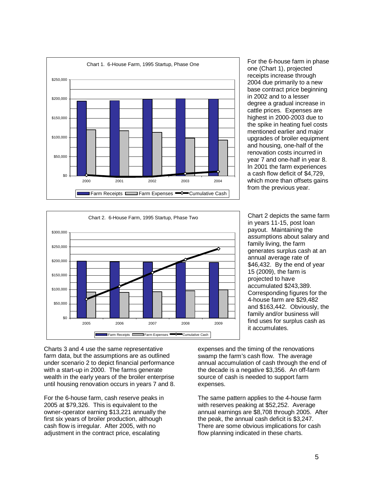





in years 11-15, post loan payout. Maintaining the assumptions about salary and family living, the farm generates surplus cash at an annual average rate of \$46,432. By the end of year 15 (2009), the farm is projected to have accumulated \$243,389. Corresponding figures for the 4-house farm are \$29,482 and \$163,442. Obviously, the family and/or business will find uses for surplus cash as it accumulates.

Chart 2 depicts the same f

Charts 3 and 4 use the same representative farm data, but the assumptions are as outlined under scenario 2 to depict financial performance with a start-up in 2000. The farms generate wealth in the early years of the broiler enterprise until housing renovation occurs in years 7 and 8.

For the 6-house farm, cash reserve peaks in 2005 at \$79,326. This is equivalent to the owner-operator earning \$13,221 annually the first six years of broiler production, although cash flow is irregular. After 2005, with no adjustment in the contract price, escalating

expenses and the timing of the renovations swamp the farm's cash flow. The average annual accumulation of cash through the end of the decade is a negative \$3,356. An off-farm source of cash is needed to support farm expenses.

The same pattern applies to the 4-house farm with reserves peaking at \$52,252. Average annual earnings are \$8,708 through 2005. After the peak, the annual cash deficit is \$3,247. There are some obvious implications for cash flow planning indicated in these charts.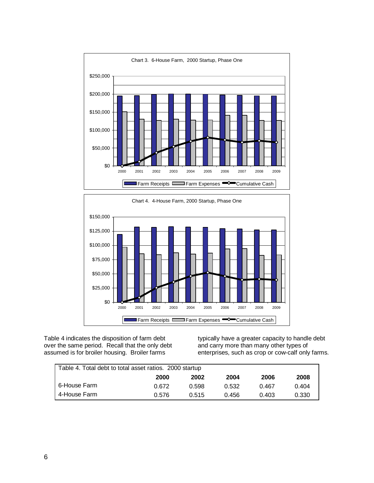



Table 4 indicates the disposition of farm debt over the same period. Recall that the only debt assumed is for broiler housing. Broiler farms

typically have a greater capacity to handle debt and carry more than many other types of enterprises, such as crop or cow-calf only farms.

| Table 4. Total debt to total asset ratios. 2000 startup |             |       |       |       |       |  |  |
|---------------------------------------------------------|-------------|-------|-------|-------|-------|--|--|
|                                                         | <b>2000</b> | 2002  | 2004  | 2006  | 2008  |  |  |
| 6-House Farm                                            | 0.672       | 0.598 | 0.532 | 0.467 | 0.404 |  |  |
| 4-House Farm                                            | 0.576       | 0.515 | 0.456 | 0.403 | 0.330 |  |  |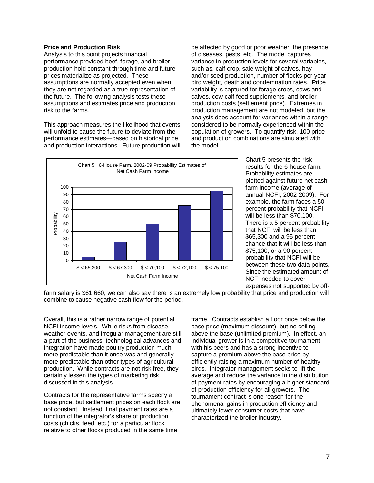#### **Price and Production Risk**

Analysis to this point projects financial performance provided beef, forage, and broiler production hold constant through time and future prices materialize as projected. These assumptions are normally accepted even when they are not regarded as a true representation of the future. The following analysis tests these assumptions and estimates price and production risk to the farms.

This approach measures the likelihood that events will unfold to cause the future to deviate from the performance estimates—based on historical price and production interactions. Future production will be affected by good or poor weather, the presence of diseases, pests, etc. The model captures variance in production levels for several variables, such as, calf crop, sale weight of calves, hay and/or seed production, number of flocks per year, bird weight, death and condemnation rates. Price variability is captured for forage crops, cows and calves, cow-calf feed supplements, and broiler production costs (settlement price). Extremes in production management are not modeled, but the analysis does account for variances within a range considered to be normally experienced within the population of growers. To quantify risk, 100 price and production combinations are simulated with the model.



Chart 5 presents the risk results for the 6-house farm. Probability estimates are plotted against future net cash farm income (average of annual NCFI, 2002-2009). For example, the farm faces a 50 percent probability that NCFI will be less than \$70,100. There is a 5 percent p robability that NCFI will be less than \$65,300 and a 95 percent chance that it will be less than \$75,100, or a 90 percent probability that NCFI will be between these two data points. Since the estimated amount o f NCFI needed to cover expenses not supported by off-

farm salary is \$61,660, we can also say there is an extremely low probability that price and produc tion will combine to cause negative cash flow for the period.

Overall, this is a rather narrow range of potential NCFI income levels. While risks from disease, weather events, and irregular management are still a part of the business, technological advances and integration have made poultry production much more predictable than it once was and generally more predictable than other types of agricultural production. While contracts are not risk free, they certainly lessen the types of marketing risk discussed in this analysis.

Contracts for the representative farms specify a base price, but settlement prices on each flock are not constant. Instead, final payment rates are a function of the integrator's share of production costs (chicks, feed, etc.) for a particular flock relative to other flocks produced in the same time

frame. Contracts establish a floor price below the base price (maximum discount), but no ceiling above the base (unlimited premium). In effect, an individual grower is in a competitive tournament with his peers and has a strong incentive to capture a premium above the base price by efficiently raising a maximum number of healthy birds. Integrator management seeks to lift the average and reduce the variance in the distribution of payment rates by encouraging a higher standard of production efficiency for all growers. The tournament contract is one reason for the phenomenal gains in production efficiency and ultimately lower consumer costs that have characterized the broiler industry.